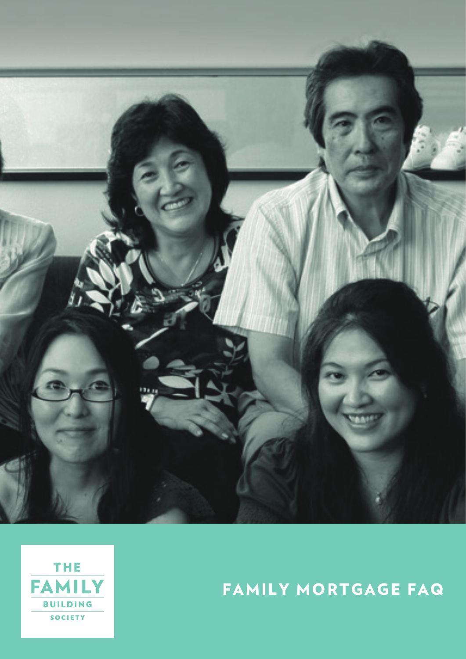



# FAMILY MORTGAGE FAQ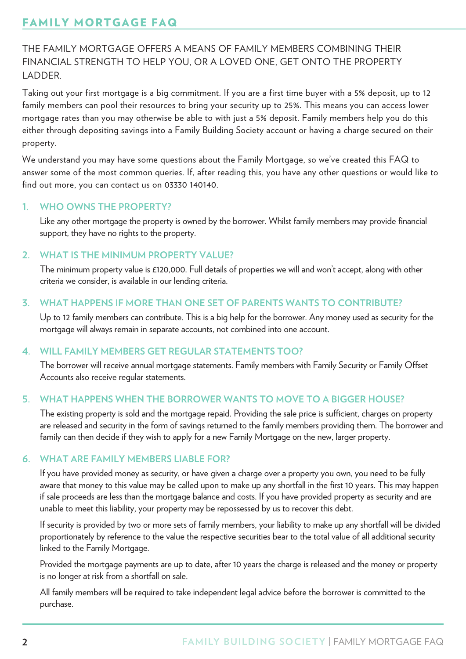# FAMILY MORTGAGE FAQ

THE FAMILY MORTGAGE OFFERS A MEANS OF FAMILY MEMBERS COMBINING THEIR FINANCIAL STRENGTH TO HELP YOU, OR A LOVED ONE, GET ONTO THE PROPERTY LADDER.

Taking out your first mortgage is a big commitment. If you are a first time buyer with a 5% deposit, up to 12 family members can pool their resources to bring your security up to 25%. This means you can access lower mortgage rates than you may otherwise be able to with just a 5% deposit. Family members help you do this either through depositing savings into a Family Building Society account or having a charge secured on their property.

We understand you may have some questions about the Family Mortgage, so we've created this FAQ to answer some of the most common queries. If, after reading this, you have any other questions or would like to find out more, you can contact us on 03330 140140.

#### **1. WHO OWNS THE PROPERTY?**

 Like any other mortgage the property is owned by the borrower. Whilst family members may provide financial support, they have no rights to the property.

#### **2. WHAT IS THE MINIMUM PROPERTY VALUE?**

 The minimum property value is £120,000. Full details of properties we will and won't accept, along with other criteria we consider, is available in our lending criteria.

#### **3. WHAT HAPPENS IF MORE THAN ONE SET OF PARENTS WANTS TO CONTRIBUTE?**

 Up to 12 family members can contribute. This is a big help for the borrower. Any money used as security for the mortgage will always remain in separate accounts, not combined into one account.

# **4. WILL FAMILY MEMBERS GET REGULAR STATEMENTS TOO?**

 The borrower will receive annual mortgage statements. Family members with Family Security or Family Offset Accounts also receive regular statements.

#### **5. WHAT HAPPENS WHEN THE BORROWER WANTS TO MOVE TO A BIGGER HOUSE?**

 The existing property is sold and the mortgage repaid. Providing the sale price is sufficient, charges on property are released and security in the form of savings returned to the family members providing them. The borrower and family can then decide if they wish to apply for a new Family Mortgage on the new, larger property.

#### **6. WHAT ARE FAMILY MEMBERS LIABLE FOR?**

 If you have provided money as security, or have given a charge over a property you own, you need to be fully aware that money to this value may be called upon to make up any shortfall in the first 10 years. This may happen if sale proceeds are less than the mortgage balance and costs. If you have provided property as security and are unable to meet this liability, your property may be repossessed by us to recover this debt.

 If security is provided by two or more sets of family members, your liability to make up any shortfall will be divided proportionately by reference to the value the respective securities bear to the total value of all additional security linked to the Family Mortgage.

 Provided the mortgage payments are up to date, after 10 years the charge is released and the money or property is no longer at risk from a shortfall on sale.

 All family members will be required to take independent legal advice before the borrower is committed to the purchase.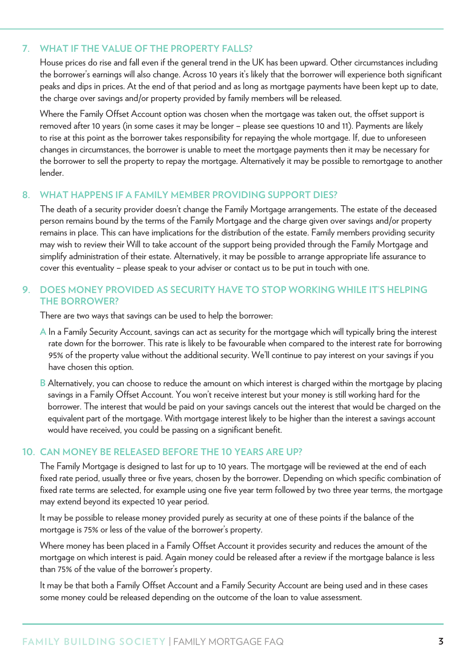# **7. WHAT IF THE VALUE OF THE PROPERTY FALLS?**

 House prices do rise and fall even if the general trend in the UK has been upward. Other circumstances including the borrower's earnings will also change. Across 10 years it's likely that the borrower will experience both significant peaks and dips in prices. At the end of that period and as long as mortgage payments have been kept up to date, the charge over savings and/or property provided by family members will be released.

 Where the Family Offset Account option was chosen when the mortgage was taken out, the offset support is removed after 10 years (in some cases it may be longer – please see questions 10 and 11). Payments are likely to rise at this point as the borrower takes responsibility for repaying the whole mortgage. If, due to unforeseen changes in circumstances, the borrower is unable to meet the mortgage payments then it may be necessary for the borrower to sell the property to repay the mortgage. Alternatively it may be possible to remortgage to another lender.

#### **8. WHAT HAPPENS IF A FAMILY MEMBER PROVIDING SUPPORT DIES?**

 The death of a security provider doesn't change the Family Mortgage arrangements. The estate of the deceased person remains bound by the terms of the Family Mortgage and the charge given over savings and/or property remains in place. This can have implications for the distribution of the estate. Family members providing security may wish to review their Will to take account of the support being provided through the Family Mortgage and simplify administration of their estate. Alternatively, it may be possible to arrange appropriate life assurance to cover this eventuality – please speak to your adviser or contact us to be put in touch with one.

#### **9. DOES MONEY PROVIDED AS SECURITY HAVE TO STOP WORKING WHILE IT'S HELPING THE BORROWER?**

There are two ways that savings can be used to help the borrower:

- **A** In a Family Security Account, savings can act as security for the mortgage which will typically bring the interest rate down for the borrower. This rate is likely to be favourable when compared to the interest rate for borrowing 95% of the property value without the additional security. We'll continue to pay interest on your savings if you have chosen this option.
- **B** Alternatively, you can choose to reduce the amount on which interest is charged within the mortgage by placing savings in a Family Offset Account. You won't receive interest but your money is still working hard for the borrower. The interest that would be paid on your savings cancels out the interest that would be charged on the equivalent part of the mortgage. With mortgage interest likely to be higher than the interest a savings account would have received, you could be passing on a significant benefit.

#### **10. CAN MONEY BE RELEASED BEFORE THE 10 YEARS ARE UP?**

 The Family Mortgage is designed to last for up to 10 years. The mortgage will be reviewed at the end of each fixed rate period, usually three or five years, chosen by the borrower. Depending on which specific combination of fixed rate terms are selected, for example using one five year term followed by two three year terms, the mortgage may extend beyond its expected 10 year period.

 It may be possible to release money provided purely as security at one of these points if the balance of the mortgage is 75% or less of the value of the borrower's property.

 Where money has been placed in a Family Offset Account it provides security and reduces the amount of the mortgage on which interest is paid. Again money could be released after a review if the mortgage balance is less than 75% of the value of the borrower's property.

 It may be that both a Family Offset Account and a Family Security Account are being used and in these cases some money could be released depending on the outcome of the loan to value assessment.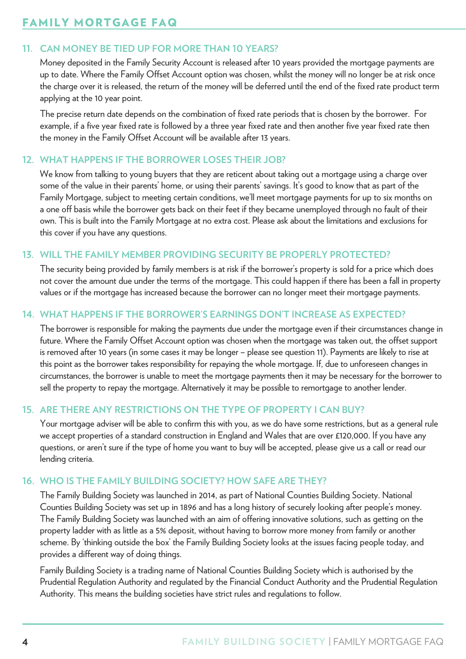# FAMILY MORTGAGE FAQ

# **11. CAN MONEY BE TIED UP FOR MORE THAN 10 YEARS?**

 Money deposited in the Family Security Account is released after 10 years provided the mortgage payments are up to date. Where the Family Offset Account option was chosen, whilst the money will no longer be at risk once the charge over it is released, the return of the money will be deferred until the end of the fixed rate product term applying at the 10 year point.

 The precise return date depends on the combination of fixed rate periods that is chosen by the borrower. For example, if a five year fixed rate is followed by a three year fixed rate and then another five year fixed rate then the money in the Family Offset Account will be available after 13 years.

# **12. WHAT HAPPENS IF THE BORROWER LOSES THEIR JOB?**

 We know from talking to young buyers that they are reticent about taking out a mortgage using a charge over some of the value in their parents' home, or using their parents' savings. It's good to know that as part of the Family Mortgage, subject to meeting certain conditions, we'll meet mortgage payments for up to six months on a one off basis while the borrower gets back on their feet if they became unemployed through no fault of their own. This is built into the Family Mortgage at no extra cost. Please ask about the limitations and exclusions for this cover if you have any questions.

# **13. WILL THE FAMILY MEMBER PROVIDING SECURITY BE PROPERLY PROTECTED?**

 The security being provided by family members is at risk if the borrower's property is sold for a price which does not cover the amount due under the terms of the mortgage. This could happen if there has been a fall in property values or if the mortgage has increased because the borrower can no longer meet their mortgage payments.

# **14. WHAT HAPPENS IF THE BORROWER'S EARNINGS DON'T INCREASE AS EXPECTED?**

 The borrower is responsible for making the payments due under the mortgage even if their circumstances change in future. Where the Family Offset Account option was chosen when the mortgage was taken out, the offset support is removed after 10 years (in some cases it may be longer – please see question 11). Payments are likely to rise at this point as the borrower takes responsibility for repaying the whole mortgage. If, due to unforeseen changes in circumstances, the borrower is unable to meet the mortgage payments then it may be necessary for the borrower to sell the property to repay the mortgage. Alternatively it may be possible to remortgage to another lender.

#### **15. ARE THERE ANY RESTRICTIONS ON THE TYPE OF PROPERTY I CAN BUY?**

 Your mortgage adviser will be able to confirm this with you, as we do have some restrictions, but as a general rule we accept properties of a standard construction in England and Wales that are over £120,000. If you have any questions, or aren't sure if the type of home you want to buy will be accepted, please give us a call or read our lending criteria.

#### **16. WHO IS THE FAMILY BUILDING SOCIETY? HOW SAFE ARE THEY?**

 The Family Building Society was launched in 2014, as part of National Counties Building Society. National Counties Building Society was set up in 1896 and has a long history of securely looking after people's money. The Family Building Society was launched with an aim of offering innovative solutions, such as getting on the property ladder with as little as a 5% deposit, without having to borrow more money from family or another scheme. By 'thinking outside the box' the Family Building Society looks at the issues facing people today, and provides a different way of doing things.

 Family Building Society is a trading name of National Counties Building Society which is authorised by the Prudential Regulation Authority and regulated by the Financial Conduct Authority and the Prudential Regulation Authority. This means the building societies have strict rules and regulations to follow.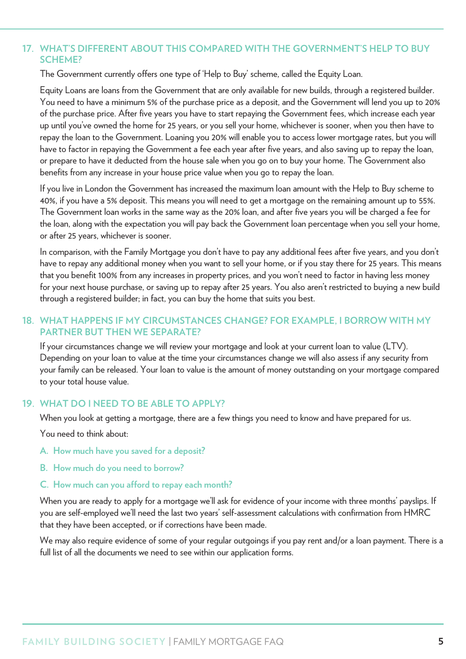# **17. WHAT'S DIFFERENT ABOUT THIS COMPARED WITH THE GOVERNMENT'S HELP TO BUY SCHEME?**

The Government currently offers one type of 'Help to Buy' scheme, called the Equity Loan.

 Equity Loans are loans from the Government that are only available for new builds, through a registered builder. You need to have a minimum 5% of the purchase price as a deposit, and the Government will lend you up to 20% of the purchase price. After five years you have to start repaying the Government fees, which increase each year up until you've owned the home for 25 years, or you sell your home, whichever is sooner, when you then have to repay the loan to the Government. Loaning you 20% will enable you to access lower mortgage rates, but you will have to factor in repaying the Government a fee each year after five years, and also saving up to repay the loan, or prepare to have it deducted from the house sale when you go on to buy your home. The Government also benefits from any increase in your house price value when you go to repay the loan.

 If you live in London the Government has increased the maximum loan amount with the Help to Buy scheme to 40%, if you have a 5% deposit. This means you will need to get a mortgage on the remaining amount up to 55%. The Government loan works in the same way as the 20% loan, and after five years you will be charged a fee for the loan, along with the expectation you will pay back the Government loan percentage when you sell your home, or after 25 years, whichever is sooner.

 In comparison, with the Family Mortgage you don't have to pay any additional fees after five years, and you don't have to repay any additional money when you want to sell your home, or if you stay there for 25 years. This means that you benefit 100% from any increases in property prices, and you won't need to factor in having less money for your next house purchase, or saving up to repay after 25 years. You also aren't restricted to buying a new build through a registered builder; in fact, you can buy the home that suits you best.

# **18. WHAT HAPPENS IF MY CIRCUMSTANCES CHANGE? FOR EXAMPLE, I BORROW WITH MY PARTNER BUT THEN WE SEPARATE?**

 If your circumstances change we will review your mortgage and look at your current loan to value (LTV). Depending on your loan to value at the time your circumstances change we will also assess if any security from your family can be released. Your loan to value is the amount of money outstanding on your mortgage compared to your total house value.

#### **19. WHAT DO I NEED TO BE ABLE TO APPLY?**

When you look at getting a mortgage, there are a few things you need to know and have prepared for us.

You need to think about:

- **A. How much have you saved for a deposit?**
- **B. How much do you need to borrow?**
- **C. How much can you afford to repay each month?**

When you are ready to apply for a mortgage we'll ask for evidence of your income with three months' payslips. If you are self-employed we'll need the last two years' self-assessment calculations with confirmation from HMRC that they have been accepted, or if corrections have been made.

 We may also require evidence of some of your regular outgoings if you pay rent and/or a loan payment. There is a full list of all the documents we need to see within our application forms.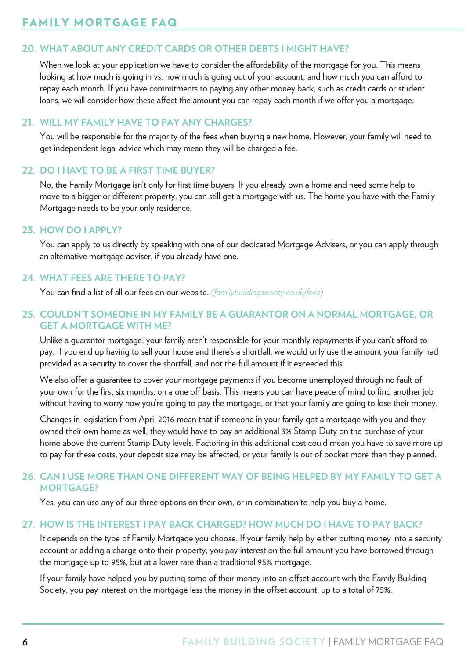# **20. WHAT ABOUT ANY CREDIT CARDS OR OTHER DEBTS I MIGHT HAVE?**

When we look at your application we have to consider the affordability of the mortgage for you. This means looking at how much is going in vs. how much is going out of your account, and how much you can afford to repay each month. If you have commitments to paying any other money back, such as credit cards or student loans, we will consider how these affect the amount you can repay each month if we offer you a mortgage.

#### **21. WILL MY FAMILY HAVE TO PAY ANY CHARGES?**

 You will be responsible for the majority of the fees when buying a new home. However, your family will need to get independent legal advice which may mean they will be charged a fee.

# **22. DO I HAVE TO BE A FIRST TIME BUYER?**

 No, the Family Mortgage isn't only for first time buyers. If you already own a home and need some help to move to a bigger or different property, you can still get a mortgage with us. The home you have with the Family Mortgage needs to be your only residence.

#### **23. HOW DO I APPLY?**

 You can apply to us directly by speaking with one of our dedicated Mortgage Advisers, or you can apply through an alternative mortgage adviser, if you already have one.

#### **24. WHAT FEES ARE THERE TO PAY?**

You can find a list of all our fees on our website. *(familybuildingsociety.co.uk/fees)*

#### **25. COULDN'T SOMEONE IN MY FAMILY BE A GUARANTOR ON A NORMAL MORTGAGE, OR GET A MORTGAGE WITH ME?**

 Unlike a guarantor mortgage, your family aren't responsible for your monthly repayments if you can't afford to pay. If you end up having to sell your house and there's a shortfall, we would only use the amount your family had provided as a security to cover the shortfall, and not the full amount if it exceeded this.

 We also offer a guarantee to cover your mortgage payments if you become unemployed through no fault of your own for the first six months, on a one off basis. This means you can have peace of mind to find another job without having to worry how you're going to pay the mortgage, or that your family are going to lose their money.

 Changes in legislation from April 2016 mean that if someone in your family got a mortgage with you and they owned their own home as well, they would have to pay an additional 3% Stamp Duty on the purchase of your home above the current Stamp Duty levels. Factoring in this additional cost could mean you have to save more up to pay for these costs, your deposit size may be affected, or your family is out of pocket more than they planned.

#### **26. CAN I USE MORE THAN ONE DIFFERENT WAY OF BEING HELPED BY MY FAMILY TO GET A MORTGAGE?**

Yes, you can use any of our three options on their own, or in combination to help you buy a home.

# **27. HOW IS THE INTEREST I PAY BACK CHARGED? HOW MUCH DO I HAVE TO PAY BACK?**

 It depends on the type of Family Mortgage you choose. If your family help by either putting money into a security account or adding a charge onto their property, you pay interest on the full amount you have borrowed through the mortgage up to 95%, but at a lower rate than a traditional 95% mortgage.

 If your family have helped you by putting some of their money into an offset account with the Family Building Society, you pay interest on the mortgage less the money in the offset account, up to a total of 75%.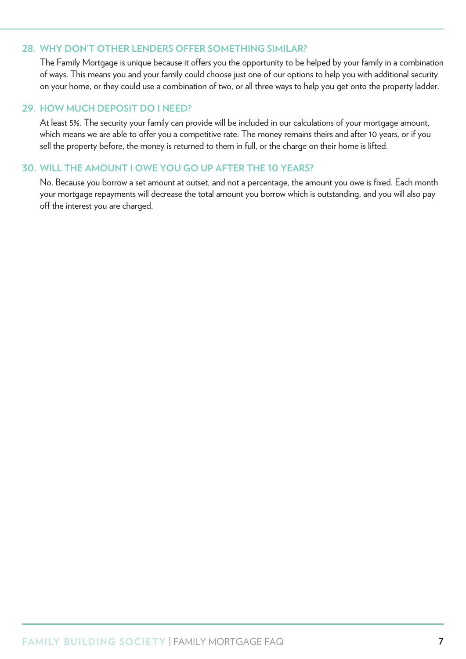#### **28. WHY DON'T OTHER LENDERS OFFER SOMETHING SIMILAR?**

 The Family Mortgage is unique because it offers you the opportunity to be helped by your family in a combination of ways. This means you and your family could choose just one of our options to help you with additional security on your home, or they could use a combination of two, or all three ways to help you get onto the property ladder.

#### **29. HOW MUCH DEPOSIT DO I NEED?**

 At least 5%. The security your family can provide will be included in our calculations of your mortgage amount, which means we are able to offer you a competitive rate. The money remains theirs and after 10 years, or if you sell the property before, the money is returned to them in full, or the charge on their home is lifted.

#### **30. WILL THE AMOUNT I OWE YOU GO UP AFTER THE 10 YEARS?**

 No. Because you borrow a set amount at outset, and not a percentage, the amount you owe is fixed. Each month your mortgage repayments will decrease the total amount you borrow which is outstanding, and you will also pay off the interest you are charged.